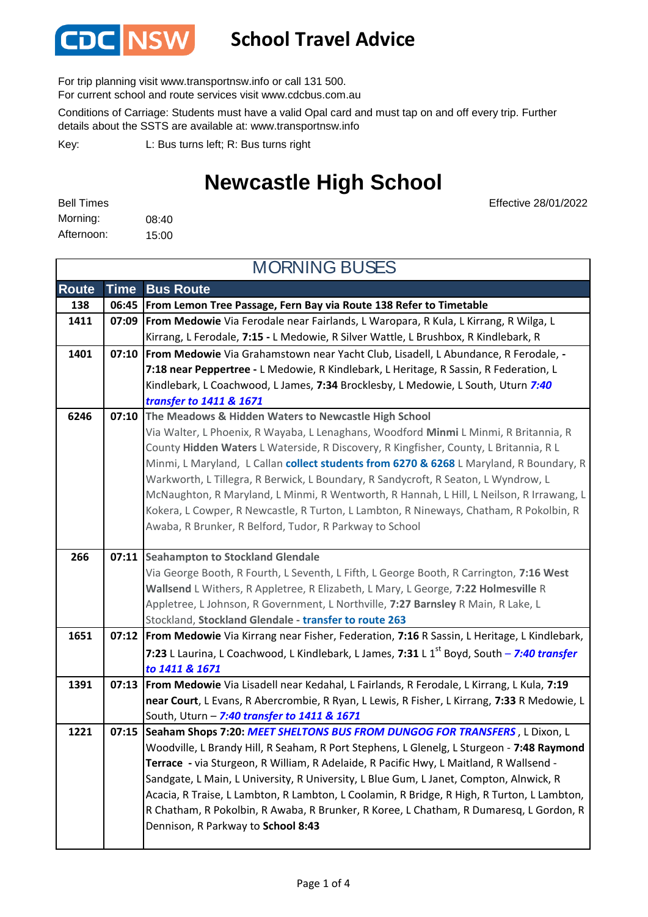

## **School Travel Advice**

For trip planning visit www.transportnsw.info or call 131 500.

For current school and route services visit www.cdcbus.com.au

Conditions of Carriage: Students must have a valid Opal card and must tap on and off every trip. Further details about the SSTS are available at: www.transportnsw.info

L: Bus turns left; R: Bus turns right Key:

## **Newcastle High School**

Effective 28/01/2022

08:40 15:00 Morning: Bell Times Afternoon:

**Route Time Bus Route 138 06:45 From Lemon Tree Passage, Fern Bay via Route 138 Refer to Timetable 1411 07:09 From Medowie** Via Ferodale near Fairlands, L Waropara, R Kula, L Kirrang, R Wilga, L Kirrang, L Ferodale, **7:15 -** L Medowie, R Silver Wattle, L Brushbox, R Kindlebark, R 1401 | 07:10 | From Medowie Via Grahamstown near Yacht Club, Lisadell, L Abundance, R Ferodale, -**7:18 near Peppertree -** L Medowie, R Kindlebark, L Heritage, R Sassin, R Federation, L Kindlebark, L Coachwood, L James, **7:34** Brocklesby, L Medowie, L South, Uturn *7:40 transfer to 1411 & 1671* **The Meadows & Hidden Waters to Newcastle High School** Via Walter, L Phoenix, R Wayaba, L Lenaghans, Woodford **Minmi** L Minmi, R Britannia, R County **Hidden Waters** L Waterside, R Discovery, R Kingfisher, County, L Britannia, R L Minmi, L Maryland, L Callan **collect students from 6270 & 6268** L Maryland, R Boundary, R Warkworth, L Tillegra, R Berwick, L Boundary, R Sandycroft, R Seaton, L Wyndrow, L McNaughton, R Maryland, L Minmi, R Wentworth, R Hannah, L Hill, L Neilson, R Irrawang, L Kokera, L Cowper, R Newcastle, R Turton, L Lambton, R Nineways, Chatham, R Pokolbin, R Awaba, R Brunker, R Belford, Tudor, R Parkway to School **Seahampton to Stockland Glendale 266 07:11** Via George Booth, R Fourth, L Seventh, L Fifth, L George Booth, R Carrington, **7:16 West Wallsend** L Withers, R Appletree, R Elizabeth, L Mary, L George, **7:22 Holmesville** R Appletree, L Johnson, R Government, L Northville, **7:27 Barnsley** R Main, R Lake, L Stockland, **Stockland Glendale - transfer to route 263 1651 07:12 From Medowie** Via Kirrang near Fisher, Federation, **7:16** R Sassin, L Heritage, L Kindlebark, **7:23** L Laurina, L Coachwood, L Kindlebark, L James, **7:31** L 1st Boyd, South – *7:40 transfer to 1411 & 1671* **1391 07:13 From Medowie** Via Lisadell near Kedahal, L Fairlands, R Ferodale, L Kirrang, L Kula, **7:19 near Court**, L Evans, R Abercrombie, R Ryan, L Lewis, R Fisher, L Kirrang, **7:33** R Medowie, L South, Uturn – *7:40 transfer to 1411 & 1671* 1221 **| 07:15** Seaham Shops 7:20: MEET SHELTONS BUS FROM DUNGOG FOR TRANSFERS, L Dixon, L Woodville, L Brandy Hill, R Seaham, R Port Stephens, L Glenelg, L Sturgeon - **7:48 Raymond Terrace -** via Sturgeon, R William, R Adelaide, R Pacific Hwy, L Maitland, R Wallsend - Sandgate, L Main, L University, R University, L Blue Gum, L Janet, Compton, Alnwick, R Acacia, R Traise, L Lambton, R Lambton, L Coolamin, R Bridge, R High, R Turton, L Lambton, R Chatham, R Pokolbin, R Awaba, R Brunker, R Koree, L Chatham, R Dumaresq, L Gordon, R Dennison, R Parkway to **School 8:43** MORNING BUSES **6246 07:10**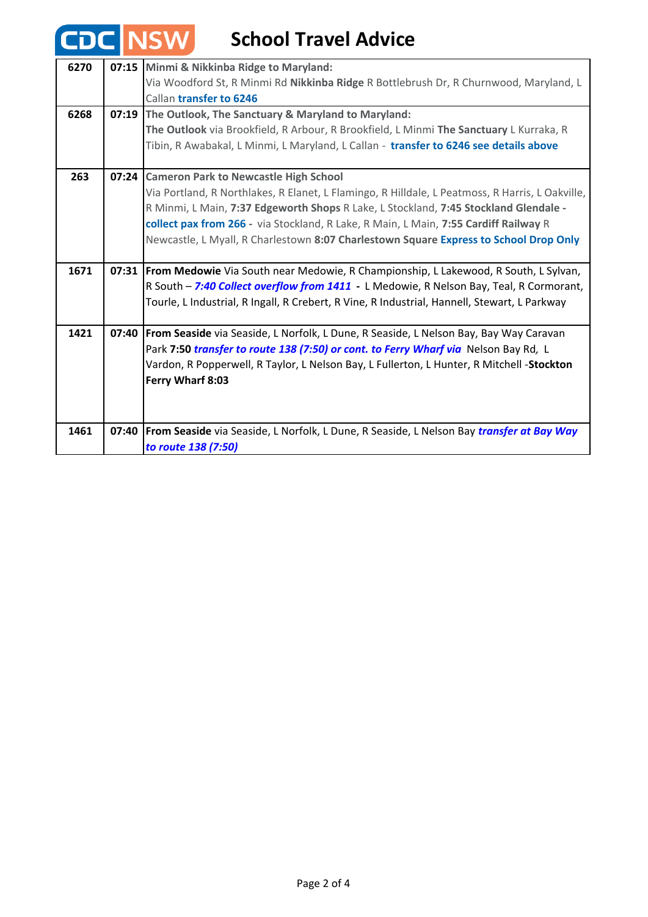|      |       | <b>CDC NSW</b><br><b>School Travel Advice</b>                                                                    |
|------|-------|------------------------------------------------------------------------------------------------------------------|
| 6270 | 07:15 | Minmi & Nikkinba Ridge to Maryland:                                                                              |
|      |       | Via Woodford St, R Minmi Rd Nikkinba Ridge R Bottlebrush Dr, R Churnwood, Maryland, L<br>Callan transfer to 6246 |
| 6268 |       | 07:19 The Outlook, The Sanctuary & Maryland to Maryland:                                                         |
|      |       | The Outlook via Brookfield, R Arbour, R Brookfield, L Minmi The Sanctuary L Kurraka, R                           |
|      |       | Tibin, R Awabakal, L Minmi, L Maryland, L Callan - transfer to 6246 see details above                            |
| 263  |       | 07:24 Cameron Park to Newcastle High School                                                                      |
|      |       | Via Portland, R Northlakes, R Elanet, L Flamingo, R Hilldale, L Peatmoss, R Harris, L Oakville,                  |
|      |       | R Minmi, L Main, 7:37 Edgeworth Shops R Lake, L Stockland, 7:45 Stockland Glendale -                             |
|      |       | collect pax from 266 - via Stockland, R Lake, R Main, L Main, 7:55 Cardiff Railway R                             |
|      |       | Newcastle, L Myall, R Charlestown 8:07 Charlestown Square Express to School Drop Only                            |
| 1671 |       | 07:31 From Medowie Via South near Medowie, R Championship, L Lakewood, R South, L Sylvan,                        |
|      |       | R South - 7:40 Collect overflow from 1411 - L Medowie, R Nelson Bay, Teal, R Cormorant,                          |
|      |       | Tourle, L Industrial, R Ingall, R Crebert, R Vine, R Industrial, Hannell, Stewart, L Parkway                     |
| 1421 | 07:40 | From Seaside via Seaside, L Norfolk, L Dune, R Seaside, L Nelson Bay, Bay Way Caravan                            |
|      |       | Park 7:50 transfer to route 138 (7:50) or cont. to Ferry Wharf via Nelson Bay Rd, L                              |
|      |       | Vardon, R Popperwell, R Taylor, L Nelson Bay, L Fullerton, L Hunter, R Mitchell -Stockton<br>Ferry Wharf 8:03    |
|      |       |                                                                                                                  |
|      |       |                                                                                                                  |
| 1461 | 07:40 | <b>From Seaside</b> via Seaside, L Norfolk, L Dune, R Seaside, L Nelson Bay <i>transfer at Bay Way</i>           |
|      |       | to route 138 (7:50)                                                                                              |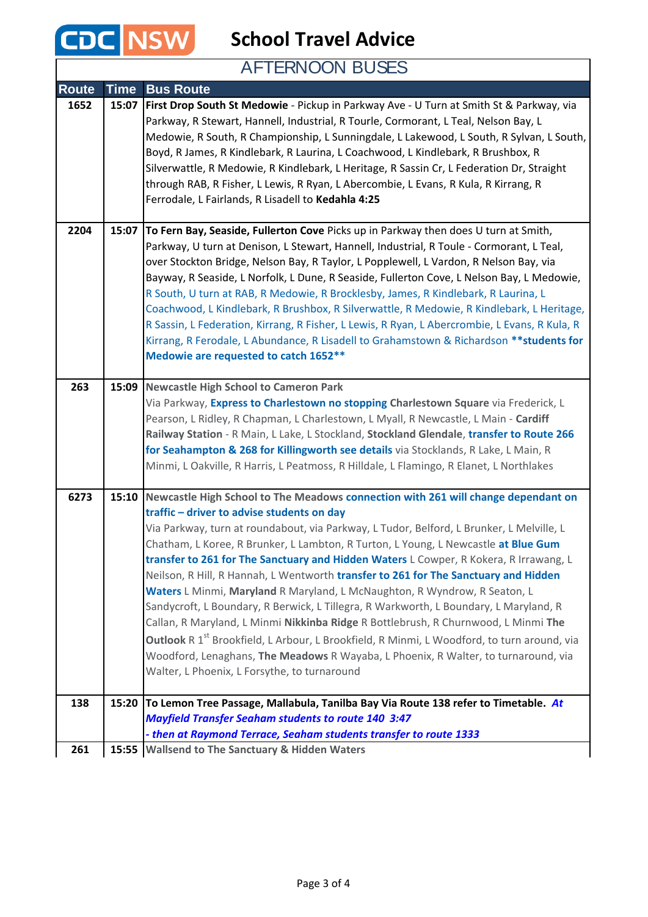

## AFTERNOON BUSES

| <b>Route</b> | <b>Time</b> | <b>Bus Route</b>                                                                                                                                                                                                                                                                                                                                                                                                                                                                                                                                                                                                                                                                                                                                                                                                                                                                                                                                                                                              |
|--------------|-------------|---------------------------------------------------------------------------------------------------------------------------------------------------------------------------------------------------------------------------------------------------------------------------------------------------------------------------------------------------------------------------------------------------------------------------------------------------------------------------------------------------------------------------------------------------------------------------------------------------------------------------------------------------------------------------------------------------------------------------------------------------------------------------------------------------------------------------------------------------------------------------------------------------------------------------------------------------------------------------------------------------------------|
| 1652         | 15:07       | First Drop South St Medowie - Pickup in Parkway Ave - U Turn at Smith St & Parkway, via<br>Parkway, R Stewart, Hannell, Industrial, R Tourle, Cormorant, L Teal, Nelson Bay, L<br>Medowie, R South, R Championship, L Sunningdale, L Lakewood, L South, R Sylvan, L South,<br>Boyd, R James, R Kindlebark, R Laurina, L Coachwood, L Kindlebark, R Brushbox, R<br>Silverwattle, R Medowie, R Kindlebark, L Heritage, R Sassin Cr, L Federation Dr, Straight<br>through RAB, R Fisher, L Lewis, R Ryan, L Abercombie, L Evans, R Kula, R Kirrang, R<br>Ferrodale, L Fairlands, R Lisadell to Kedahla 4:25                                                                                                                                                                                                                                                                                                                                                                                                      |
| 2204         | 15:07       | To Fern Bay, Seaside, Fullerton Cove Picks up in Parkway then does U turn at Smith,<br>Parkway, U turn at Denison, L Stewart, Hannell, Industrial, R Toule - Cormorant, L Teal,<br>over Stockton Bridge, Nelson Bay, R Taylor, L Popplewell, L Vardon, R Nelson Bay, via<br>Bayway, R Seaside, L Norfolk, L Dune, R Seaside, Fullerton Cove, L Nelson Bay, L Medowie,<br>R South, U turn at RAB, R Medowie, R Brocklesby, James, R Kindlebark, R Laurina, L<br>Coachwood, L Kindlebark, R Brushbox, R Silverwattle, R Medowie, R Kindlebark, L Heritage,<br>R Sassin, L Federation, Kirrang, R Fisher, L Lewis, R Ryan, L Abercrombie, L Evans, R Kula, R<br>Kirrang, R Ferodale, L Abundance, R Lisadell to Grahamstown & Richardson ** students for<br>Medowie are requested to catch 1652**                                                                                                                                                                                                                |
| 263          | 15:09       | <b>Newcastle High School to Cameron Park</b><br>Via Parkway, Express to Charlestown no stopping Charlestown Square via Frederick, L<br>Pearson, L Ridley, R Chapman, L Charlestown, L Myall, R Newcastle, L Main - Cardiff<br>Railway Station - R Main, L Lake, L Stockland, Stockland Glendale, transfer to Route 266<br>for Seahampton & 268 for Killingworth see details via Stocklands, R Lake, L Main, R<br>Minmi, L Oakville, R Harris, L Peatmoss, R Hilldale, L Flamingo, R Elanet, L Northlakes                                                                                                                                                                                                                                                                                                                                                                                                                                                                                                      |
| 6273         | 15:10       | Newcastle High School to The Meadows connection with 261 will change dependant on<br>traffic - driver to advise students on day<br>Via Parkway, turn at roundabout, via Parkway, L Tudor, Belford, L Brunker, L Melville, L<br>Chatham, L Koree, R Brunker, L Lambton, R Turton, L Young, L Newcastle at Blue Gum<br>transfer to 261 for The Sanctuary and Hidden Waters L Cowper, R Kokera, R Irrawang, L<br>Neilson, R Hill, R Hannah, L Wentworth transfer to 261 for The Sanctuary and Hidden<br>Waters L Minmi, Maryland R Maryland, L McNaughton, R Wyndrow, R Seaton, L<br>Sandycroft, L Boundary, R Berwick, L Tillegra, R Warkworth, L Boundary, L Maryland, R<br>Callan, R Maryland, L Minmi Nikkinba Ridge R Bottlebrush, R Churnwood, L Minmi The<br>Outlook R 1 <sup>st</sup> Brookfield, L Arbour, L Brookfield, R Minmi, L Woodford, to turn around, via<br>Woodford, Lenaghans, The Meadows R Wayaba, L Phoenix, R Walter, to turnaround, via<br>Walter, L Phoenix, L Forsythe, to turnaround |
| 138          | 15:20       | To Lemon Tree Passage, Mallabula, Tanilba Bay Via Route 138 refer to Timetable. At                                                                                                                                                                                                                                                                                                                                                                                                                                                                                                                                                                                                                                                                                                                                                                                                                                                                                                                            |
|              |             | <b>Mayfield Transfer Seaham students to route 140 3:47</b>                                                                                                                                                                                                                                                                                                                                                                                                                                                                                                                                                                                                                                                                                                                                                                                                                                                                                                                                                    |
|              |             | - then at Raymond Terrace, Seaham students transfer to route 1333                                                                                                                                                                                                                                                                                                                                                                                                                                                                                                                                                                                                                                                                                                                                                                                                                                                                                                                                             |
| 261          | 15:55       | <b>Wallsend to The Sanctuary &amp; Hidden Waters</b>                                                                                                                                                                                                                                                                                                                                                                                                                                                                                                                                                                                                                                                                                                                                                                                                                                                                                                                                                          |